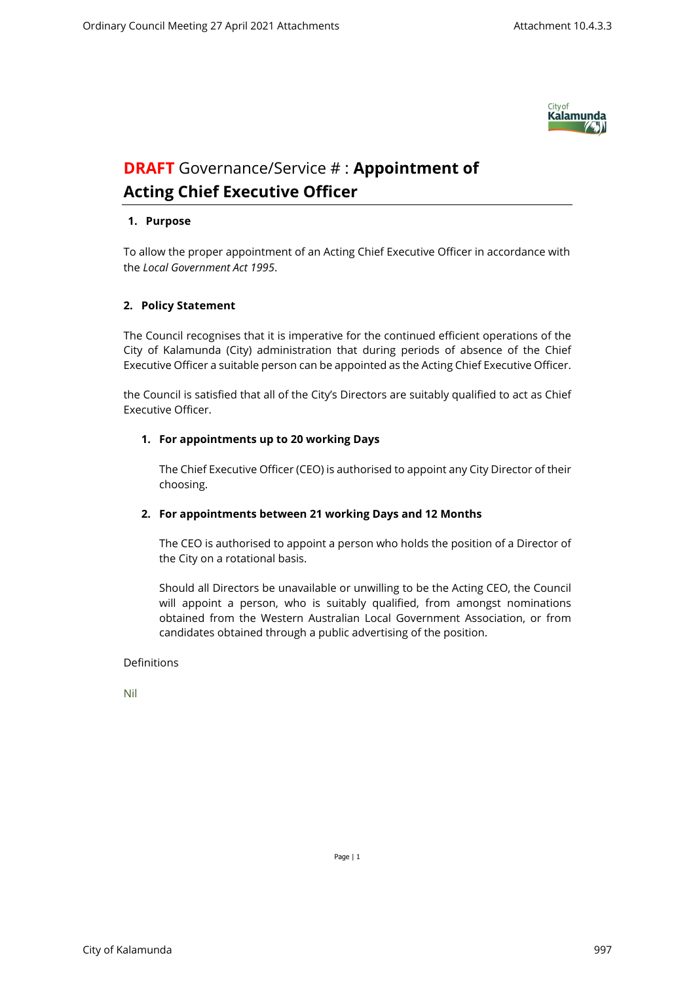

# **DRAFT** Governance/Service # : **Appointment of Acting Chief Executive Officer**

### **1. Purpose**

To allow the proper appointment of an Acting Chief Executive Officer in accordance with the *Local Government Act 1995*.

#### **2. Policy Statement**

The Council recognises that it is imperative for the continued efficient operations of the City of Kalamunda (City) administration that during periods of absence of the Chief Executive Officer a suitable person can be appointed as the Acting Chief Executive Officer.

the Council is satisfied that all of the City's Directors are suitably qualified to act as Chief Executive Officer.

#### **1. For appointments up to 20 working Days**

The Chief Executive Officer (CEO) is authorised to appoint any City Director of their choosing.

## **2. For appointments between 21 working Days and 12 Months**

The CEO is authorised to appoint a person who holds the position of a Director of the City on a rotational basis.

Should all Directors be unavailable or unwilling to be the Acting CEO, the Council will appoint a person, who is suitably qualified, from amongst nominations obtained from the Western Australian Local Government Association, or from candidates obtained through a public advertising of the position.

#### Definitions

Nil

Page | 1